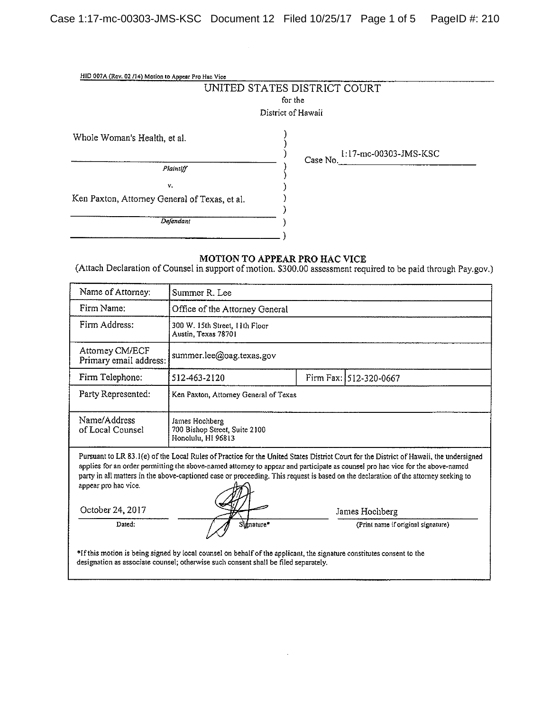| HID 007A (Rev. 02 /14) Motion to Appear Pro Hac Vice |                                   |
|------------------------------------------------------|-----------------------------------|
|                                                      | UNITED STATES DISTRICT COURT      |
|                                                      | for the                           |
|                                                      | District of Hawaii                |
| Whole Woman's Health, et al.                         | 1:17-mc-00303-JMS-KSC<br>Case No. |
| Plaintiff                                            |                                   |
| $\mathbf{V}_\mathrm{L}$                              |                                   |
| Ken Paxton, Attorney General of Texas, et al.        |                                   |
|                                                      |                                   |
| Defendant                                            |                                   |
|                                                      |                                   |

#### MOTION TO APPEAR PRO HAC VICE

(Attach Declaration of Counsel in support of motion. \$300.00 assessment required to be paid through Pay.gov.)

| Name of Attorney:                                                                                                                                                                                                                                                                                                                                                                                                                                                             | Summer R. Lee                                                         |  |                                    |
|-------------------------------------------------------------------------------------------------------------------------------------------------------------------------------------------------------------------------------------------------------------------------------------------------------------------------------------------------------------------------------------------------------------------------------------------------------------------------------|-----------------------------------------------------------------------|--|------------------------------------|
| Firm Name:                                                                                                                                                                                                                                                                                                                                                                                                                                                                    | Office of the Attorney General                                        |  |                                    |
| Firm Address:                                                                                                                                                                                                                                                                                                                                                                                                                                                                 | 300 W. 15th Street, 11th Floor<br>Austin, Texas 78701                 |  |                                    |
| Attomey CM/ECF<br>Primary email address:                                                                                                                                                                                                                                                                                                                                                                                                                                      | summer.lee@oag.texas.gov                                              |  |                                    |
| Firm Telephone:                                                                                                                                                                                                                                                                                                                                                                                                                                                               | 512-463-2120                                                          |  | Firm Fax: 512-320-0667             |
| Party Represented:                                                                                                                                                                                                                                                                                                                                                                                                                                                            | Ken Paxton, Attorney General of Texas                                 |  |                                    |
| Name/Address<br>of Local Counsel                                                                                                                                                                                                                                                                                                                                                                                                                                              | James Hochberg<br>700 Bishop Street, Suite 2100<br>Honolulu, HI 96813 |  |                                    |
| Pursuant to LR 83.1(e) of the Local Rules of Practice for the United States District Court for the District of Hawaii, the undersigned<br>applies for an order permitting the above-named attorney to appear and participate as counsel pro hac vice for the above-named<br>party in all matters in the above-captioned case or proceeding. This request is based on the declaration of the attorney seeking to<br>appear pro hac vice.<br>October 24, 2017<br>James Hochberg |                                                                       |  |                                    |
| Dated:                                                                                                                                                                                                                                                                                                                                                                                                                                                                        | Signature*                                                            |  | (Print name if original signature) |
| *If this motion is being signed by local counsel on behalf of the applicant, the signature constitutes consent to the<br>designation as associate counsel; otherwise such consent shall be filed separately.                                                                                                                                                                                                                                                                  |                                                                       |  |                                    |

 $\ddot{\phantom{a}}$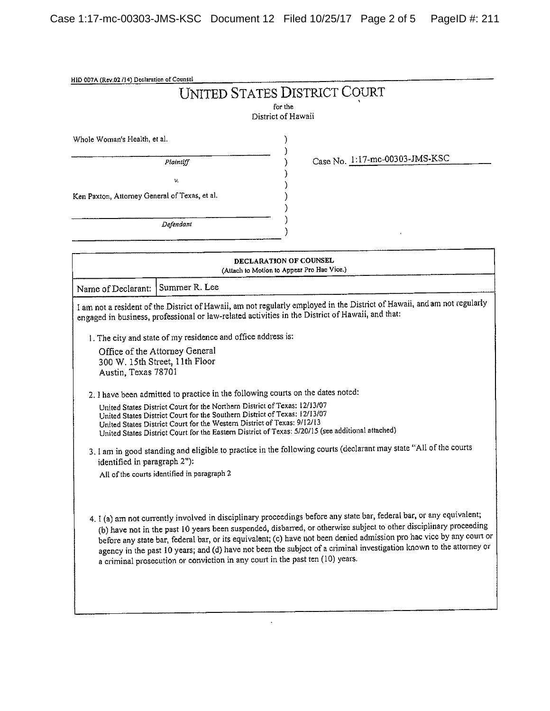|                                                     |                                                                                                                                                                                                                                                                                                                                                                                                                      | <b>UNITED STATES DISTRICT COURT</b><br>for the                                                                                                                                                                                                                                                                                                                                                                                                                                                                                            |
|-----------------------------------------------------|----------------------------------------------------------------------------------------------------------------------------------------------------------------------------------------------------------------------------------------------------------------------------------------------------------------------------------------------------------------------------------------------------------------------|-------------------------------------------------------------------------------------------------------------------------------------------------------------------------------------------------------------------------------------------------------------------------------------------------------------------------------------------------------------------------------------------------------------------------------------------------------------------------------------------------------------------------------------------|
|                                                     |                                                                                                                                                                                                                                                                                                                                                                                                                      | District of Hawaii                                                                                                                                                                                                                                                                                                                                                                                                                                                                                                                        |
| Whole Woman's Health, et al.                        |                                                                                                                                                                                                                                                                                                                                                                                                                      |                                                                                                                                                                                                                                                                                                                                                                                                                                                                                                                                           |
|                                                     | Plaintiff                                                                                                                                                                                                                                                                                                                                                                                                            | Case No. 1:17-mc-00303-JMS-KSC                                                                                                                                                                                                                                                                                                                                                                                                                                                                                                            |
| v.                                                  |                                                                                                                                                                                                                                                                                                                                                                                                                      |                                                                                                                                                                                                                                                                                                                                                                                                                                                                                                                                           |
| Ken Paxton, Attorney General of Texas, et al.       |                                                                                                                                                                                                                                                                                                                                                                                                                      |                                                                                                                                                                                                                                                                                                                                                                                                                                                                                                                                           |
|                                                     | Defendant                                                                                                                                                                                                                                                                                                                                                                                                            |                                                                                                                                                                                                                                                                                                                                                                                                                                                                                                                                           |
|                                                     |                                                                                                                                                                                                                                                                                                                                                                                                                      | DECLARATION OF COUNSEL<br>(Attach to Motion to Appear Pro Hac Vice.)                                                                                                                                                                                                                                                                                                                                                                                                                                                                      |
| Name of Declarant:                                  | Summer R. Lee                                                                                                                                                                                                                                                                                                                                                                                                        |                                                                                                                                                                                                                                                                                                                                                                                                                                                                                                                                           |
| Austin, Texas 78701<br>identified in paragraph 2"): | 1. The city and state of my residence and office address is:<br>Office of the Attorney General<br>300 W. 15th Street, 11th Floor<br>United States District Court for the Northern District of Texas: 12/13/07<br>United States District Court for the Southern District of Texas: 12/13/07<br>United States District Court for the Western District of Texas: 9/12/13<br>All of the courts identified in paragraph 2 | I am not a resident of the District of Hawaii, am not regularly employed in the District of Hawaii, and am not regularly<br>engaged in business, professional or law-related activities in the District of Hawaii, and that:<br>2. I have been admitted to practice in the following courts on the dates noted:<br>United States District Court for the Eastern District of Texas: 5/20/15 (see additional attached)<br>3. I am in good standing and eligible to practice in the following courts (declarant may state "All of the courts |
|                                                     | a criminal prosecution or conviction in any court in the past ten (10) years.                                                                                                                                                                                                                                                                                                                                        | 4. I (a) am not currently involved in disciplinary proceedings before any state bar, federal bar, or any equivalent;<br>(b) have not in the past 10 years been suspended, disbarred, or otherwise subject to other disciplinary proceeding<br>before any state bar, federal bar, or its equivalent; (c) have not been denied admission pro hac vice by any court or<br>agency in the past 10 years; and (d) have not been the subject of a criminal investigation known to the attorney or                                                |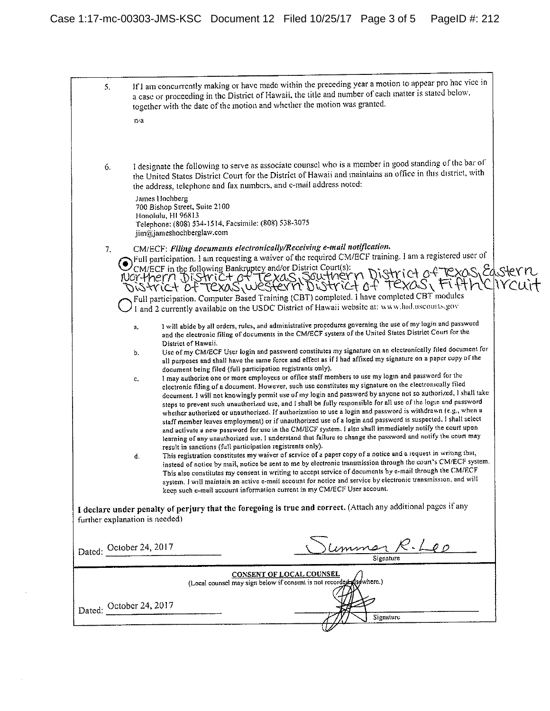|        | If I am concurrently making or have made within the preceding year a motion to appear pro hac vice in<br>5.<br>a case or proceeding in the District of Hawaii, the title and number of each matter is stated below,<br>together with the date of the motion and whether the motion was granted.<br>n/a                                                                                                                                                                                                                                                                                                                                                                                                                                                                                                                                                                                                                                                                                                                                                                                                                                                                                                                                                                                                                                                                                                                                                                                                                                                                                                                                                                                                                                                                                                                        |  |
|--------|-------------------------------------------------------------------------------------------------------------------------------------------------------------------------------------------------------------------------------------------------------------------------------------------------------------------------------------------------------------------------------------------------------------------------------------------------------------------------------------------------------------------------------------------------------------------------------------------------------------------------------------------------------------------------------------------------------------------------------------------------------------------------------------------------------------------------------------------------------------------------------------------------------------------------------------------------------------------------------------------------------------------------------------------------------------------------------------------------------------------------------------------------------------------------------------------------------------------------------------------------------------------------------------------------------------------------------------------------------------------------------------------------------------------------------------------------------------------------------------------------------------------------------------------------------------------------------------------------------------------------------------------------------------------------------------------------------------------------------------------------------------------------------------------------------------------------------|--|
|        | I designate the following to serve as associate counsel who is a member in good standing of the bar of<br>6.<br>the United States District Court for the District of Hawaii and maintains an office in this district, with<br>the address, telephone and fax numbers, and e-mail address noted:                                                                                                                                                                                                                                                                                                                                                                                                                                                                                                                                                                                                                                                                                                                                                                                                                                                                                                                                                                                                                                                                                                                                                                                                                                                                                                                                                                                                                                                                                                                               |  |
|        | James Hochberg<br>700 Bishop Street, Suite 2100<br>Honolulu, HI 96813<br>Telephone: (808) 534-1514, Facsimile: (808) 538-3075<br>jim@jameshochberglaw.com                                                                                                                                                                                                                                                                                                                                                                                                                                                                                                                                                                                                                                                                                                                                                                                                                                                                                                                                                                                                                                                                                                                                                                                                                                                                                                                                                                                                                                                                                                                                                                                                                                                                     |  |
|        | CM/ECF: Filing documents electronically/Receiving e-mail notification.<br>7.<br>Pull participation. 1 am requesting a waiver of the required CM/ECF training. 1 am a registered user of<br>COMELLE In the following Bankruptcy and/or District Court(s):<br>NOT-thern District of Texas Southern District of Texas Edstern<br>District of Texas western District of Texas Fifth CIVCUIT<br>Full participation. Computer Based Training (CBT) completed. I have completed CBT modules<br>I and 2 currently available on the USDC District of Hawaii website at: www.hid.uscourts.gov                                                                                                                                                                                                                                                                                                                                                                                                                                                                                                                                                                                                                                                                                                                                                                                                                                                                                                                                                                                                                                                                                                                                                                                                                                           |  |
|        | I will abide by all orders, rules, and administrative procedures governing the use of my login and password<br>a.<br>and the electronic filing of documents in the CM/ECF system of the United States District Court for the<br>District of Hawaii.                                                                                                                                                                                                                                                                                                                                                                                                                                                                                                                                                                                                                                                                                                                                                                                                                                                                                                                                                                                                                                                                                                                                                                                                                                                                                                                                                                                                                                                                                                                                                                           |  |
|        | Use of my CM/ECF User login and password constitutes my signature on an electronically filed document for<br>b.<br>all purposes and shall have the same force and effect as if I had affixed my signature on a paper copy of the<br>document being filed (full participation registrants only).<br>I may authorize one or more employees or office staff members to use my login and password for the<br>c.<br>electronic filing of a document. However, such use constitutes my signature on the electronically filed<br>document. I will not knowingly permit use of my login and password by anyone not so authorized, I shall take<br>steps to prevent such unauthorized use, and I shall be fully responsible for all use of the login and password<br>whether authorized or unauthorized. If authorization to use a login and password is withdrawn (e.g., when a<br>staff member leaves employment) or if unauthorized use of a login and password is suspected, I shall select<br>and activate a new password for use in the CM/ECF system. I also shall immediately notify the court upon<br>learning of any unauthorized use. I understand that failure to change the password and notify the court may<br>result in sanctions (full participation registrants only).<br>This registration constitutes my waiver of service of a paper copy of a notice and a request in writing that,<br>d.<br>instead of notice by mail, notice be sent to me by electronic transmission through the court's CM/ECF system.<br>This also constitutes my consent in writing to accept service of documents by e-mail through the CM/ECF<br>system. I will maintain an active e-mail account for notice and service by electronic transmission, and will<br>keep such e-mail account information current in my CM/ECF User account. |  |
|        | I declare under penalty of perjury that the foregoing is true and correct. (Attach any additional pages if any<br>further explanation is needed)                                                                                                                                                                                                                                                                                                                                                                                                                                                                                                                                                                                                                                                                                                                                                                                                                                                                                                                                                                                                                                                                                                                                                                                                                                                                                                                                                                                                                                                                                                                                                                                                                                                                              |  |
|        | <u>Summar R. Leo</u><br>Dated: October 24, 2017                                                                                                                                                                                                                                                                                                                                                                                                                                                                                                                                                                                                                                                                                                                                                                                                                                                                                                                                                                                                                                                                                                                                                                                                                                                                                                                                                                                                                                                                                                                                                                                                                                                                                                                                                                               |  |
|        | <b>CONSENT OF LOCAL COUNSEL</b><br>(Local counsel may sign below if consent is not recorded as where.)                                                                                                                                                                                                                                                                                                                                                                                                                                                                                                                                                                                                                                                                                                                                                                                                                                                                                                                                                                                                                                                                                                                                                                                                                                                                                                                                                                                                                                                                                                                                                                                                                                                                                                                        |  |
| Dated: | October 24, 2017<br>Signature                                                                                                                                                                                                                                                                                                                                                                                                                                                                                                                                                                                                                                                                                                                                                                                                                                                                                                                                                                                                                                                                                                                                                                                                                                                                                                                                                                                                                                                                                                                                                                                                                                                                                                                                                                                                 |  |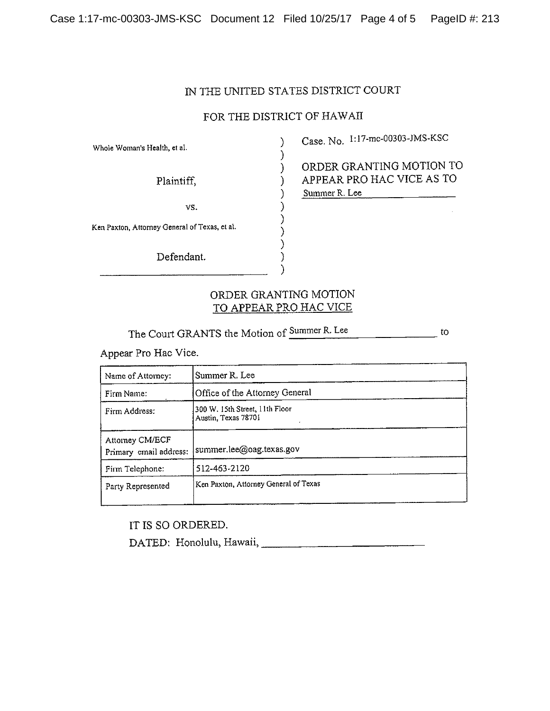#### IN THE UNITED STATES DISTRICT COURT

### FOR THE DISTRICT OF HAWAII

)

Whole Woman's Health, et al.

vs.

\_\_\_\_\_\_\_\_\_\_\_\_\_\_\_\_\_\_\_\_\_\_\_\_\_\_\_\_\_\_\_\_\_\_\_\_\_\_\_\_\_\_\_\_\_\_\_\_\_\_\_\_\_\_\_\_\_\_\_\_\_\_\_\_\_ )

Ken Paxton, Attorney General of Texas, et at.

Defendant.

) Case. No. 1:17-mc-00303-JMS-KSC

) ORDER GRANTING MOTION TO Plaintiff,  $\rangle$  APPEAR PRO HAC VICE AS TO Summer R. Lee

## ORDER GRANTiNG MOTION TO APPEAR PRO HAC VICE

)

The Court GRANTS the Motion of Summer R. Lee

Appear Pro Rae Vice.

| Name of Attorney:                         | Summer R. Lee                                         |
|-------------------------------------------|-------------------------------------------------------|
| Firm Name:                                | Office of the Attorney General                        |
| Firm Address:                             | 300 W. 15th Street, 11th Floor<br>Austin, Texas 78701 |
| Attorney CM/ECF<br>Primary email address: | summer.lee@oag.texas.gov                              |
| Firm Telephone:                           | 512-463-2120                                          |
| Party Represented                         | Ken Paxton, Attorney General of Texas                 |

IT IS SO ORDERED.

DATED: Honolulu, Hawaii,